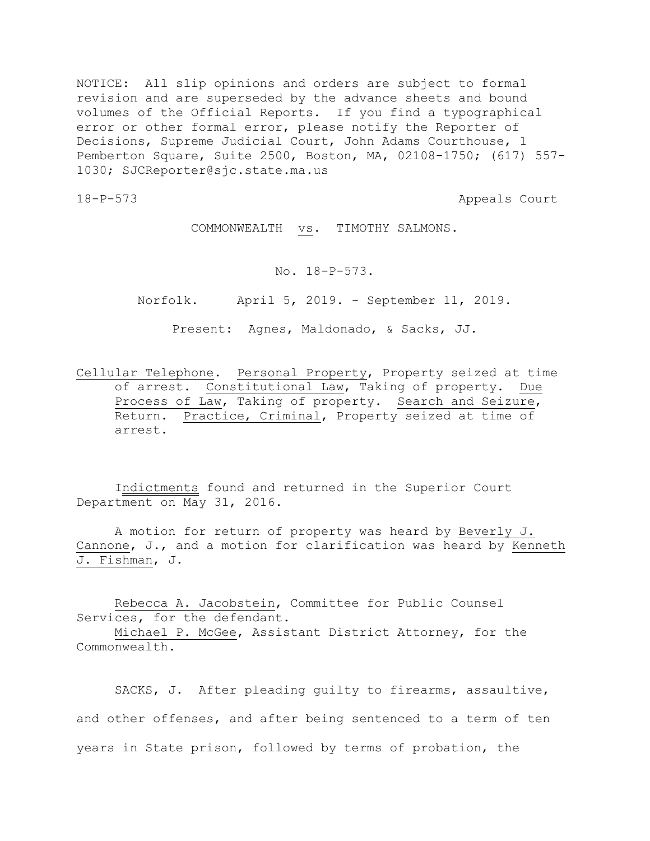NOTICE: All slip opinions and orders are subject to formal revision and are superseded by the advance sheets and bound volumes of the Official Reports. If you find a typographical error or other formal error, please notify the Reporter of Decisions, Supreme Judicial Court, John Adams Courthouse, 1 Pemberton Square, Suite 2500, Boston, MA, 02108-1750; (617) 557- 1030; SJCReporter@sjc.state.ma.us

18-P-573 Appeals Court

COMMONWEALTH vs. TIMOTHY SALMONS.

No. 18-P-573.

Norfolk. April 5, 2019. - September 11, 2019.

Present: Agnes, Maldonado, & Sacks, JJ.

Cellular Telephone. Personal Property, Property seized at time of arrest. Constitutional Law, Taking of property. Due Process of Law, Taking of property. Search and Seizure, Return. Practice, Criminal, Property seized at time of arrest.

Indictments found and returned in the Superior Court Department on May 31, 2016.

A motion for return of property was heard by Beverly J. Cannone, J., and a motion for clarification was heard by Kenneth J. Fishman, J.

Rebecca A. Jacobstein, Committee for Public Counsel Services, for the defendant.

Michael P. McGee, Assistant District Attorney, for the Commonwealth.

SACKS, J. After pleading guilty to firearms, assaultive, and other offenses, and after being sentenced to a term of ten years in State prison, followed by terms of probation, the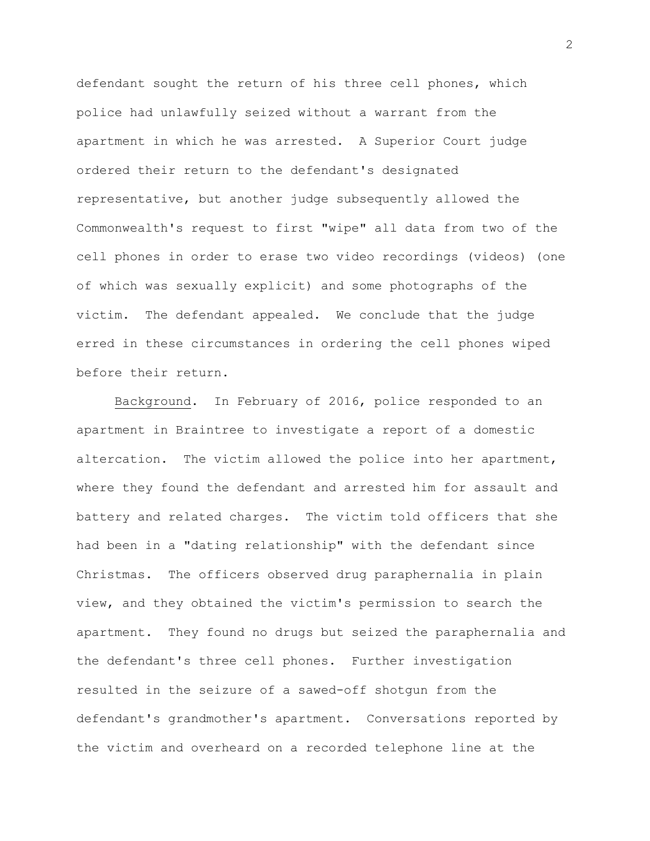defendant sought the return of his three cell phones, which police had unlawfully seized without a warrant from the apartment in which he was arrested. A Superior Court judge ordered their return to the defendant's designated representative, but another judge subsequently allowed the Commonwealth's request to first "wipe" all data from two of the cell phones in order to erase two video recordings (videos) (one of which was sexually explicit) and some photographs of the victim. The defendant appealed. We conclude that the judge erred in these circumstances in ordering the cell phones wiped before their return.

Background. In February of 2016, police responded to an apartment in Braintree to investigate a report of a domestic altercation. The victim allowed the police into her apartment, where they found the defendant and arrested him for assault and battery and related charges. The victim told officers that she had been in a "dating relationship" with the defendant since Christmas. The officers observed drug paraphernalia in plain view, and they obtained the victim's permission to search the apartment. They found no drugs but seized the paraphernalia and the defendant's three cell phones. Further investigation resulted in the seizure of a sawed-off shotgun from the defendant's grandmother's apartment. Conversations reported by the victim and overheard on a recorded telephone line at the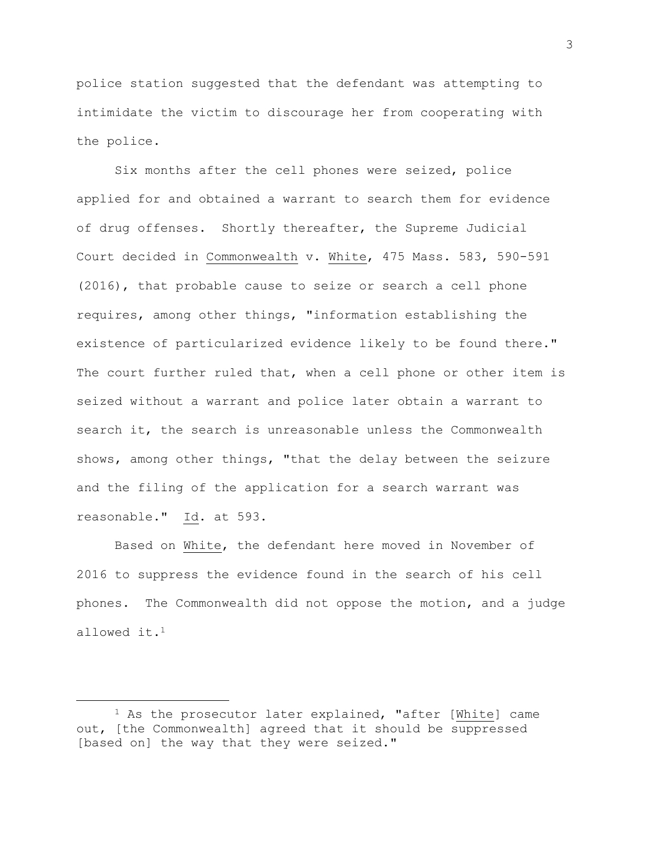police station suggested that the defendant was attempting to intimidate the victim to discourage her from cooperating with the police.

Six months after the cell phones were seized, police applied for and obtained a warrant to search them for evidence of drug offenses. Shortly thereafter, the Supreme Judicial Court decided in Commonwealth v. White, 475 Mass. 583, 590-591 (2016), that probable cause to seize or search a cell phone requires, among other things, "information establishing the existence of particularized evidence likely to be found there." The court further ruled that, when a cell phone or other item is seized without a warrant and police later obtain a warrant to search it, the search is unreasonable unless the Commonwealth shows, among other things, "that the delay between the seizure and the filing of the application for a search warrant was reasonable." Id. at 593.

Based on White, the defendant here moved in November of 2016 to suppress the evidence found in the search of his cell phones. The Commonwealth did not oppose the motion, and a judge allowed it.<sup>1</sup>

<sup>&</sup>lt;sup>1</sup> As the prosecutor later explained, "after [White] came out, [the Commonwealth] agreed that it should be suppressed [based on] the way that they were seized."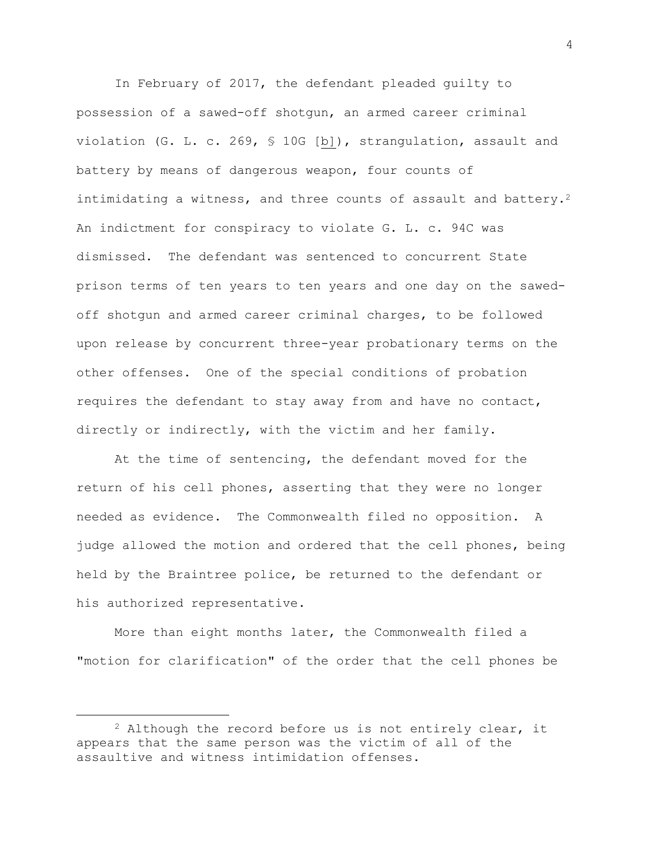In February of 2017, the defendant pleaded guilty to possession of a sawed-off shotgun, an armed career criminal violation (G. L. c. 269, § 10G [b]), strangulation, assault and battery by means of dangerous weapon, four counts of intimidating a witness, and three counts of assault and battery.<sup>2</sup> An indictment for conspiracy to violate G. L. c. 94C was dismissed. The defendant was sentenced to concurrent State prison terms of ten years to ten years and one day on the sawedoff shotgun and armed career criminal charges, to be followed upon release by concurrent three-year probationary terms on the other offenses. One of the special conditions of probation requires the defendant to stay away from and have no contact, directly or indirectly, with the victim and her family.

At the time of sentencing, the defendant moved for the return of his cell phones, asserting that they were no longer needed as evidence. The Commonwealth filed no opposition. A judge allowed the motion and ordered that the cell phones, being held by the Braintree police, be returned to the defendant or his authorized representative.

More than eight months later, the Commonwealth filed a "motion for clarification" of the order that the cell phones be

 $2$  Although the record before us is not entirely clear, it appears that the same person was the victim of all of the assaultive and witness intimidation offenses.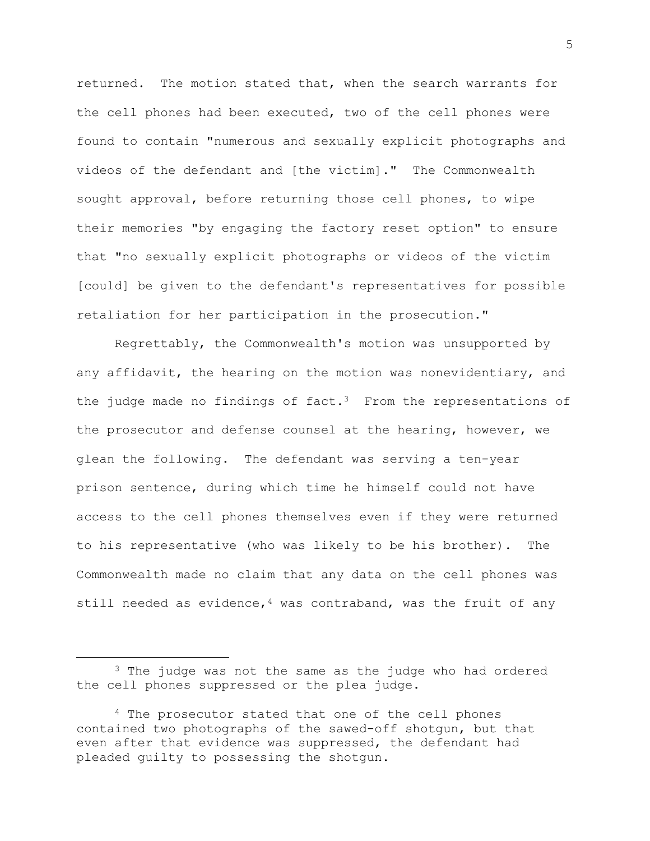returned. The motion stated that, when the search warrants for the cell phones had been executed, two of the cell phones were found to contain "numerous and sexually explicit photographs and videos of the defendant and [the victim]." The Commonwealth sought approval, before returning those cell phones, to wipe their memories "by engaging the factory reset option" to ensure that "no sexually explicit photographs or videos of the victim [could] be given to the defendant's representatives for possible retaliation for her participation in the prosecution."

Regrettably, the Commonwealth's motion was unsupported by any affidavit, the hearing on the motion was nonevidentiary, and the judge made no findings of fact.<sup>3</sup> From the representations of the prosecutor and defense counsel at the hearing, however, we glean the following. The defendant was serving a ten-year prison sentence, during which time he himself could not have access to the cell phones themselves even if they were returned to his representative (who was likely to be his brother). The Commonwealth made no claim that any data on the cell phones was still needed as evidence,  $4$  was contraband, was the fruit of any

<sup>&</sup>lt;sup>3</sup> The judge was not the same as the judge who had ordered the cell phones suppressed or the plea judge.

<sup>4</sup> The prosecutor stated that one of the cell phones contained two photographs of the sawed-off shotgun, but that even after that evidence was suppressed, the defendant had pleaded guilty to possessing the shotgun.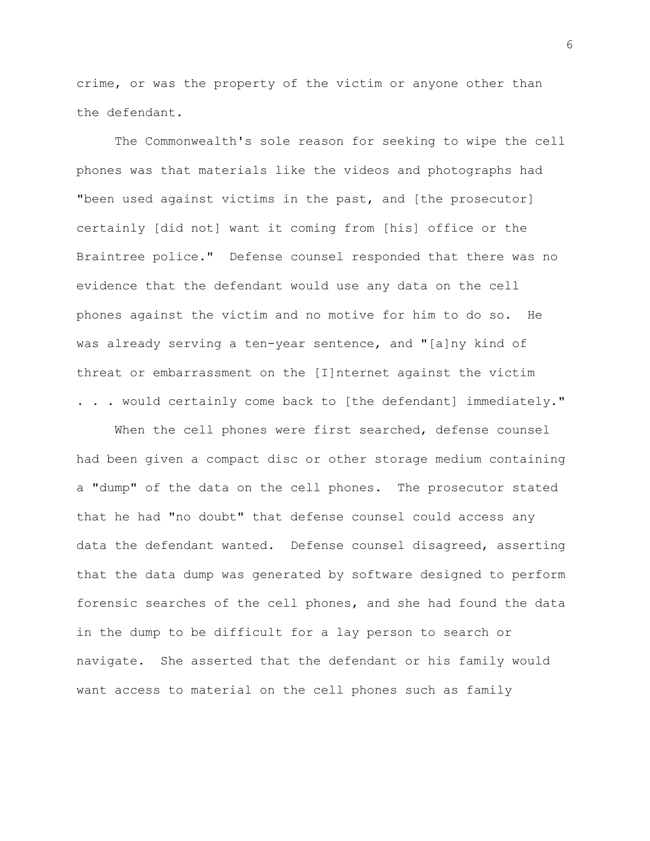crime, or was the property of the victim or anyone other than the defendant.

The Commonwealth's sole reason for seeking to wipe the cell phones was that materials like the videos and photographs had "been used against victims in the past, and [the prosecutor] certainly [did not] want it coming from [his] office or the Braintree police." Defense counsel responded that there was no evidence that the defendant would use any data on the cell phones against the victim and no motive for him to do so. He was already serving a ten-year sentence, and "[a]ny kind of threat or embarrassment on the [I]nternet against the victim . . . would certainly come back to [the defendant] immediately."

When the cell phones were first searched, defense counsel had been given a compact disc or other storage medium containing a "dump" of the data on the cell phones. The prosecutor stated that he had "no doubt" that defense counsel could access any data the defendant wanted. Defense counsel disagreed, asserting that the data dump was generated by software designed to perform forensic searches of the cell phones, and she had found the data in the dump to be difficult for a lay person to search or navigate. She asserted that the defendant or his family would want access to material on the cell phones such as family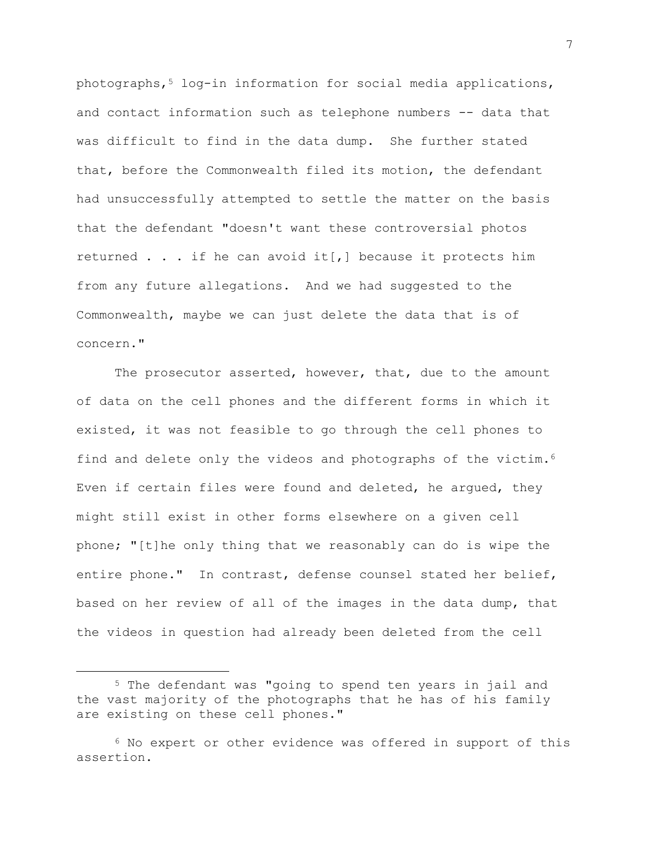$photography$ ,  $10q-in$  information for social media applications, and contact information such as telephone numbers -- data that was difficult to find in the data dump. She further stated that, before the Commonwealth filed its motion, the defendant had unsuccessfully attempted to settle the matter on the basis that the defendant "doesn't want these controversial photos returned  $\ldots$  if he can avoid it[,] because it protects him from any future allegations. And we had suggested to the Commonwealth, maybe we can just delete the data that is of concern."

The prosecutor asserted, however, that, due to the amount of data on the cell phones and the different forms in which it existed, it was not feasible to go through the cell phones to find and delete only the videos and photographs of the victim.<sup>6</sup> Even if certain files were found and deleted, he argued, they might still exist in other forms elsewhere on a given cell phone; "[t]he only thing that we reasonably can do is wipe the entire phone." In contrast, defense counsel stated her belief, based on her review of all of the images in the data dump, that the videos in question had already been deleted from the cell

L,

<sup>5</sup> The defendant was "going to spend ten years in jail and the vast majority of the photographs that he has of his family are existing on these cell phones."

<sup>6</sup> No expert or other evidence was offered in support of this assertion.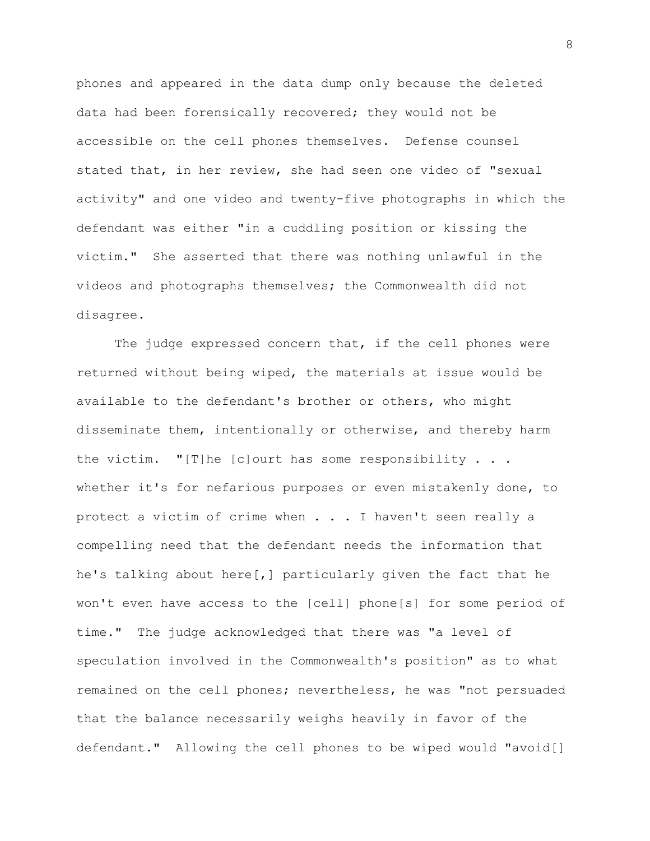phones and appeared in the data dump only because the deleted data had been forensically recovered; they would not be accessible on the cell phones themselves. Defense counsel stated that, in her review, she had seen one video of "sexual activity" and one video and twenty-five photographs in which the defendant was either "in a cuddling position or kissing the victim." She asserted that there was nothing unlawful in the videos and photographs themselves; the Commonwealth did not disagree.

The judge expressed concern that, if the cell phones were returned without being wiped, the materials at issue would be available to the defendant's brother or others, who might disseminate them, intentionally or otherwise, and thereby harm the victim. "[T]he [c]ourt has some responsibility  $\ldots$ . whether it's for nefarious purposes or even mistakenly done, to protect a victim of crime when . . . I haven't seen really a compelling need that the defendant needs the information that he's talking about here[,] particularly given the fact that he won't even have access to the [cell] phone[s] for some period of time." The judge acknowledged that there was "a level of speculation involved in the Commonwealth's position" as to what remained on the cell phones; nevertheless, he was "not persuaded that the balance necessarily weighs heavily in favor of the defendant." Allowing the cell phones to be wiped would "avoid[]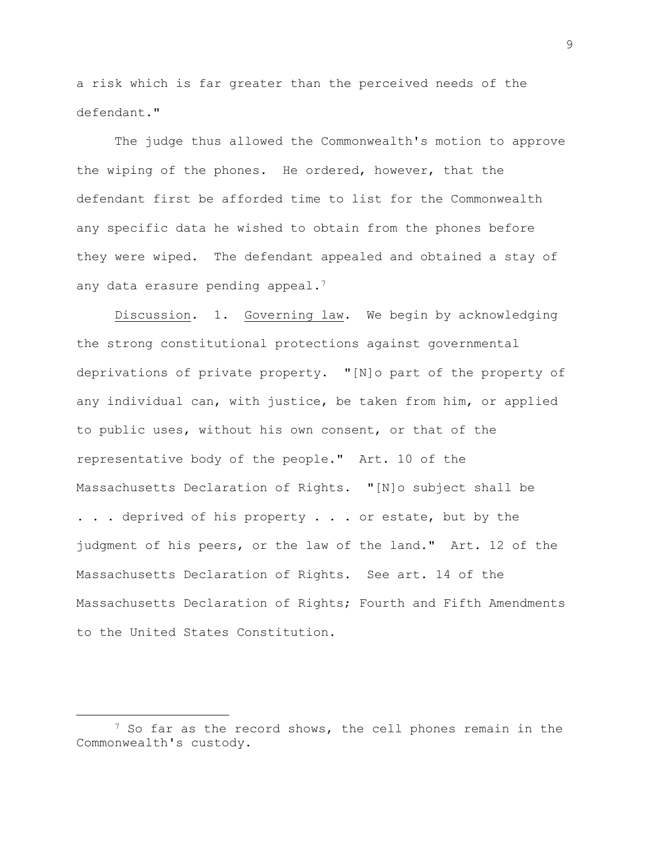a risk which is far greater than the perceived needs of the defendant."

The judge thus allowed the Commonwealth's motion to approve the wiping of the phones. He ordered, however, that the defendant first be afforded time to list for the Commonwealth any specific data he wished to obtain from the phones before they were wiped. The defendant appealed and obtained a stay of any data erasure pending appeal.<sup>7</sup>

Discussion. 1. Governing law. We begin by acknowledging the strong constitutional protections against governmental deprivations of private property. "[N]o part of the property of any individual can, with justice, be taken from him, or applied to public uses, without his own consent, or that of the representative body of the people." Art. 10 of the Massachusetts Declaration of Rights. "[N]o subject shall be . . . deprived of his property . . . or estate, but by the judgment of his peers, or the law of the land." Art. 12 of the Massachusetts Declaration of Rights. See art. 14 of the Massachusetts Declaration of Rights; Fourth and Fifth Amendments to the United States Constitution.

a<br>B

<sup>&</sup>lt;sup>7</sup> So far as the record shows, the cell phones remain in the Commonwealth's custody.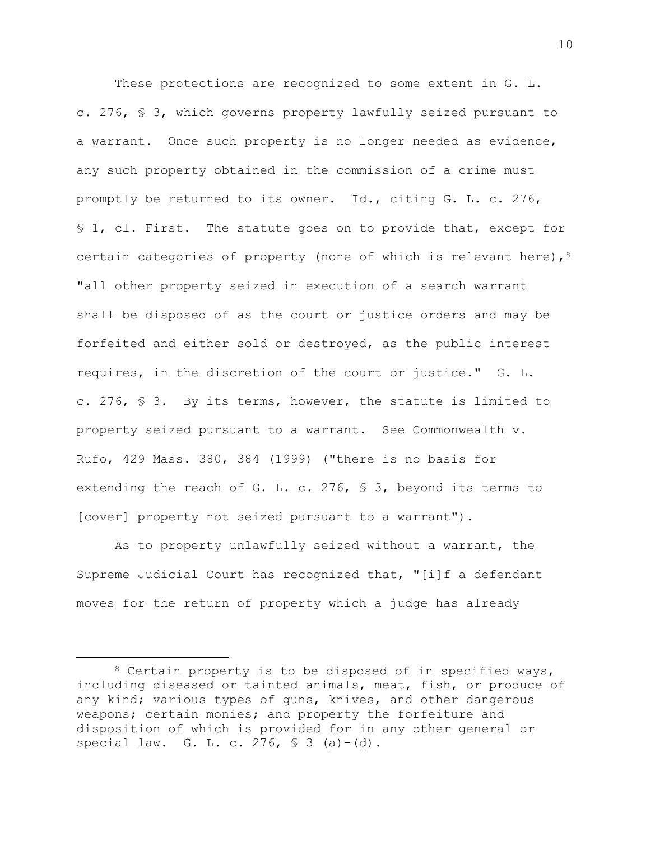These protections are recognized to some extent in G. L. c. 276, § 3, which governs property lawfully seized pursuant to a warrant. Once such property is no longer needed as evidence, any such property obtained in the commission of a crime must promptly be returned to its owner. Id., citing G. L. c. 276, § 1, cl. First. The statute goes on to provide that, except for certain categories of property (none of which is relevant here), 8 "all other property seized in execution of a search warrant shall be disposed of as the court or justice orders and may be forfeited and either sold or destroyed, as the public interest requires, in the discretion of the court or justice." G. L. c. 276, § 3. By its terms, however, the statute is limited to property seized pursuant to a warrant. See Commonwealth v. Rufo, 429 Mass. 380, 384 (1999) ("there is no basis for extending the reach of G. L. c. 276, § 3, beyond its terms to [cover] property not seized pursuant to a warrant").

As to property unlawfully seized without a warrant, the Supreme Judicial Court has recognized that, "[i]f a defendant moves for the return of property which a judge has already

<sup>8</sup> Certain property is to be disposed of in specified ways, including diseased or tainted animals, meat, fish, or produce of any kind; various types of guns, knives, and other dangerous weapons; certain monies; and property the forfeiture and disposition of which is provided for in any other general or special law. G. L. c. 276,  $\frac{1}{5}$  3 (a) - (d).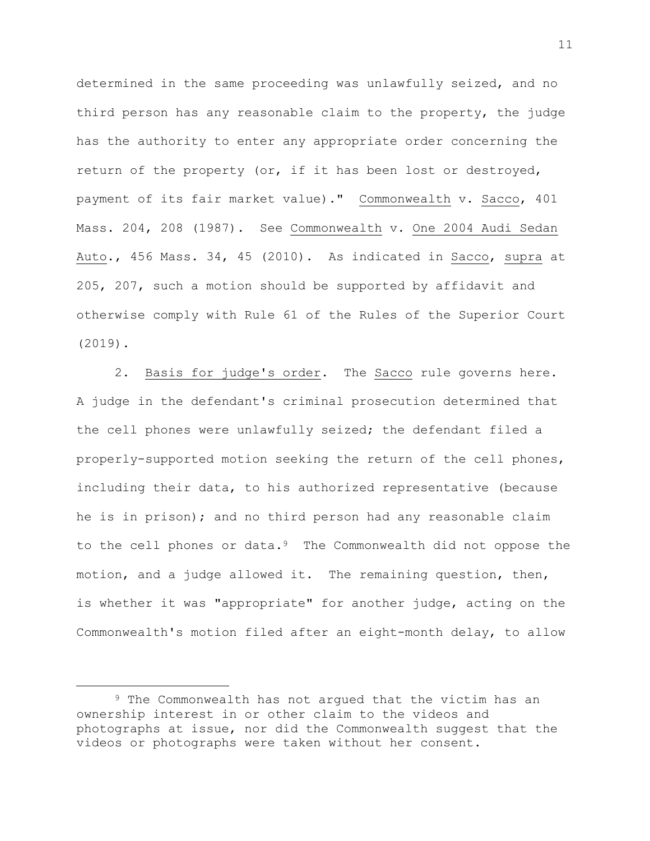determined in the same proceeding was unlawfully seized, and no third person has any reasonable claim to the property, the judge has the authority to enter any appropriate order concerning the return of the property (or, if it has been lost or destroyed, payment of its fair market value)." Commonwealth v. Sacco, 401 Mass. 204, 208 (1987). See Commonwealth v. One 2004 Audi Sedan Auto., 456 Mass. 34, 45 (2010). As indicated in Sacco, supra at 205, 207, such a motion should be supported by affidavit and otherwise comply with Rule 61 of the Rules of the Superior Court (2019).

2. Basis for judge's order. The Sacco rule governs here. A judge in the defendant's criminal prosecution determined that the cell phones were unlawfully seized; the defendant filed a properly-supported motion seeking the return of the cell phones, including their data, to his authorized representative (because he is in prison); and no third person had any reasonable claim to the cell phones or data.<sup>9</sup> The Commonwealth did not oppose the motion, and a judge allowed it. The remaining question, then, is whether it was "appropriate" for another judge, acting on the Commonwealth's motion filed after an eight-month delay, to allow

<sup>9</sup> The Commonwealth has not argued that the victim has an ownership interest in or other claim to the videos and photographs at issue, nor did the Commonwealth suggest that the videos or photographs were taken without her consent.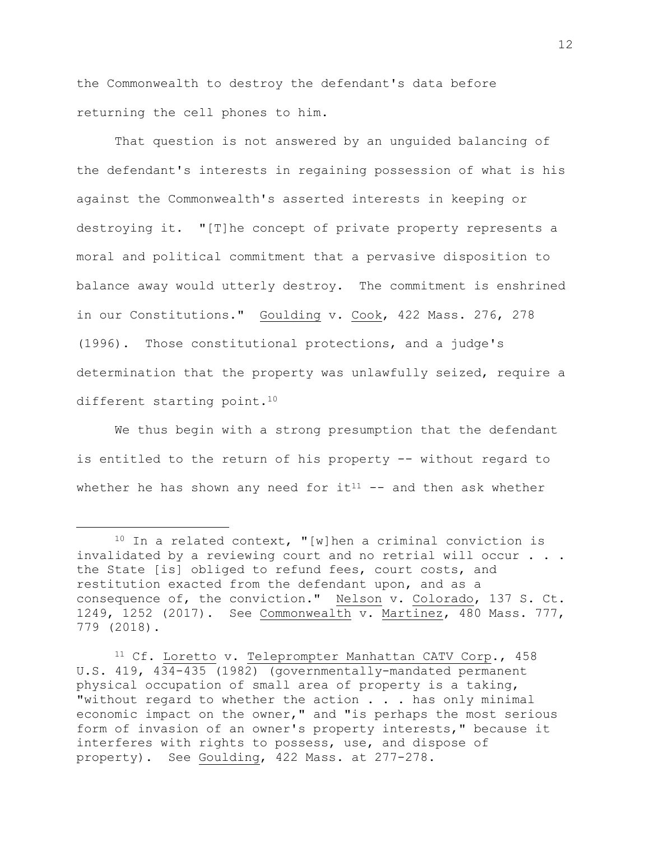the Commonwealth to destroy the defendant's data before returning the cell phones to him.

That question is not answered by an unguided balancing of the defendant's interests in regaining possession of what is his against the Commonwealth's asserted interests in keeping or destroying it. "[T]he concept of private property represents a moral and political commitment that a pervasive disposition to balance away would utterly destroy. The commitment is enshrined in our Constitutions." Goulding v. Cook, 422 Mass. 276, 278 (1996). Those constitutional protections, and a judge's determination that the property was unlawfully seized, require a different starting point.<sup>10</sup>

We thus begin with a strong presumption that the defendant is entitled to the return of his property -- without regard to whether he has shown any need for  $it^{11}$  -- and then ask whether

 $10$  In a related context, "[w]hen a criminal conviction is invalidated by a reviewing court and no retrial will occur . . . the State [is] obliged to refund fees, court costs, and restitution exacted from the defendant upon, and as a consequence of, the conviction." Nelson v. Colorado, 137 S. Ct. 1249, 1252 (2017). See Commonwealth v. Martinez, 480 Mass. 777, 779 (2018).

<sup>11</sup> Cf. Loretto v. Teleprompter Manhattan CATV Corp., 458 U.S. 419, 434-435 (1982) (governmentally-mandated permanent physical occupation of small area of property is a taking, "without regard to whether the action . . . has only minimal economic impact on the owner," and "is perhaps the most serious form of invasion of an owner's property interests," because it interferes with rights to possess, use, and dispose of property). See Goulding, 422 Mass. at 277-278.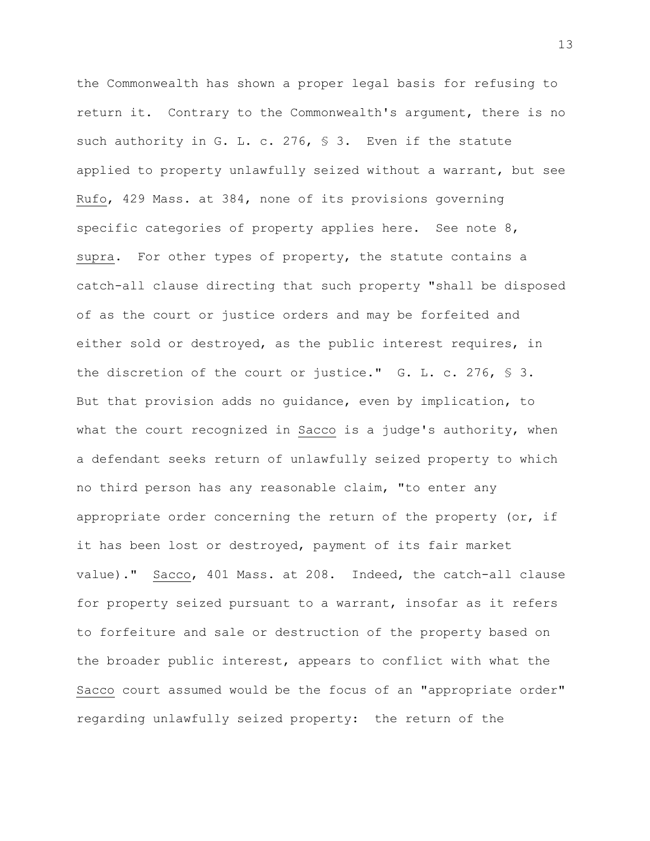the Commonwealth has shown a proper legal basis for refusing to return it. Contrary to the Commonwealth's argument, there is no such authority in G. L. c. 276, § 3. Even if the statute applied to property unlawfully seized without a warrant, but see Rufo, 429 Mass. at 384, none of its provisions governing specific categories of property applies here. See note 8, supra. For other types of property, the statute contains a catch-all clause directing that such property "shall be disposed of as the court or justice orders and may be forfeited and either sold or destroyed, as the public interest requires, in the discretion of the court or justice." G. L. c. 276, § 3. But that provision adds no guidance, even by implication, to what the court recognized in Sacco is a judge's authority, when a defendant seeks return of unlawfully seized property to which no third person has any reasonable claim, "to enter any appropriate order concerning the return of the property (or, if it has been lost or destroyed, payment of its fair market value)." Sacco, 401 Mass. at 208. Indeed, the catch-all clause for property seized pursuant to a warrant, insofar as it refers to forfeiture and sale or destruction of the property based on the broader public interest, appears to conflict with what the Sacco court assumed would be the focus of an "appropriate order" regarding unlawfully seized property: the return of the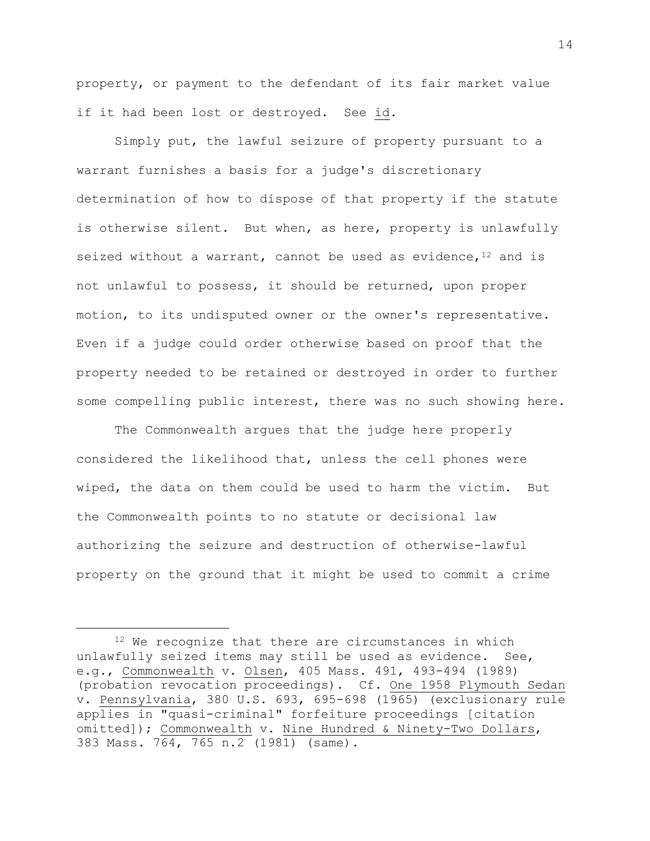property, or payment to the defendant of its fair market value if it had been lost or destroyed. See id.

Simply put, the lawful seizure of property pursuant to a warrant furnishes a basis for a judge's discretionary determination of how to dispose of that property if the statute is otherwise silent. But when, as here, property is unlawfully seized without a warrant, cannot be used as evidence,  $12$  and is not unlawful to possess, it should be returned, upon proper motion, to its undisputed owner or the owner's representative. Even if a judge could order otherwise based on proof that the property needed to be retained or destroyed in order to further some compelling public interest, there was no such showing here.

The Commonwealth argues that the judge here properly considered the likelihood that, unless the cell phones were wiped, the data on them could be used to harm the victim. But the Commonwealth points to no statute or decisional law authorizing the seizure and destruction of otherwise-lawful property on the ground that it might be used to commit a crime

<sup>12</sup> We recognize that there are circumstances in which unlawfully seized items may still be used as evidence. See, e.g., Commonwealth v. Olsen, 405 Mass. 491, 493-494 (1989) (probation revocation proceedings). Cf. One 1958 Plymouth Sedan v. Pennsylvania, 380 U.S. 693, 695-698 (1965) (exclusionary rule applies in "quasi-criminal" forfeiture proceedings [citation omitted]); Commonwealth v. Nine Hundred & Ninety-Two Dollars, 383 Mass. 764, 765 n.2 (1981) (same).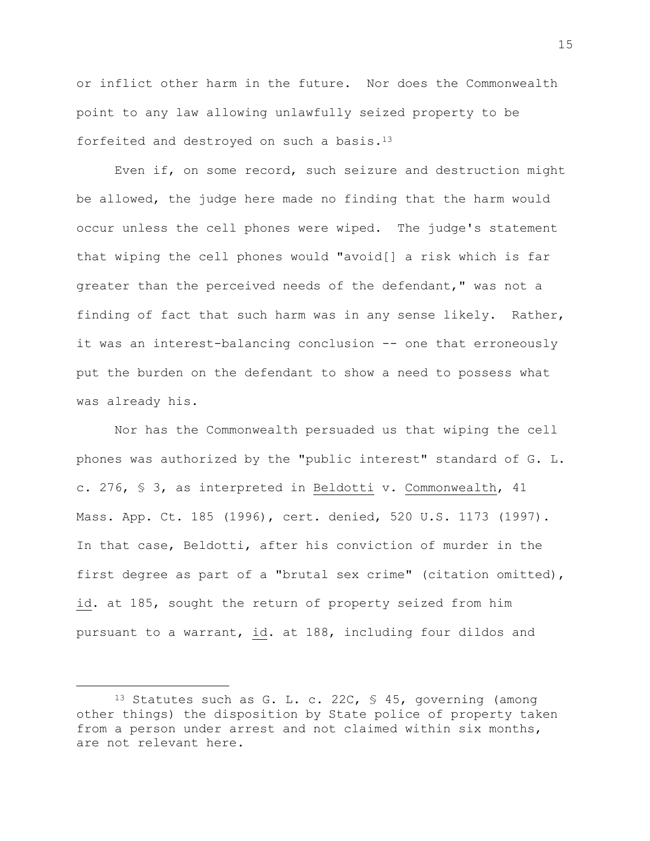or inflict other harm in the future. Nor does the Commonwealth point to any law allowing unlawfully seized property to be forfeited and destroyed on such a basis.<sup>13</sup>

Even if, on some record, such seizure and destruction might be allowed, the judge here made no finding that the harm would occur unless the cell phones were wiped. The judge's statement that wiping the cell phones would "avoid[] a risk which is far greater than the perceived needs of the defendant," was not a finding of fact that such harm was in any sense likely. Rather, it was an interest-balancing conclusion -- one that erroneously put the burden on the defendant to show a need to possess what was already his.

Nor has the Commonwealth persuaded us that wiping the cell phones was authorized by the "public interest" standard of G. L. c. 276, § 3, as interpreted in Beldotti v. Commonwealth, 41 Mass. App. Ct. 185 (1996), cert. denied, 520 U.S. 1173 (1997). In that case, Beldotti, after his conviction of murder in the first degree as part of a "brutal sex crime" (citation omitted), id. at 185, sought the return of property seized from him pursuant to a warrant, id. at 188, including four dildos and

<sup>13</sup> Statutes such as G. L. c. 22C, § 45, governing (among other things) the disposition by State police of property taken from a person under arrest and not claimed within six months, are not relevant here.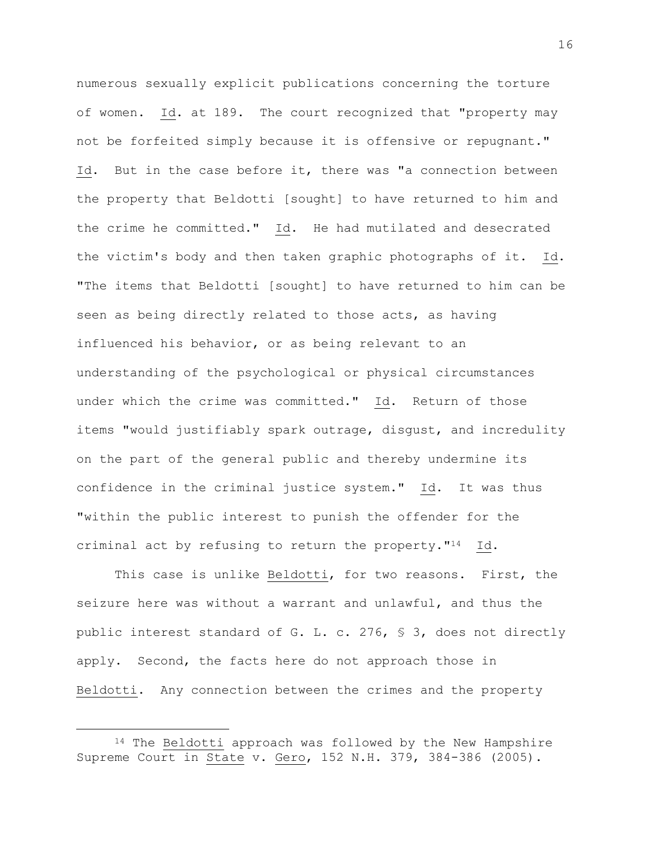numerous sexually explicit publications concerning the torture of women. Id. at 189. The court recognized that "property may not be forfeited simply because it is offensive or repugnant." Id. But in the case before it, there was "a connection between the property that Beldotti [sought] to have returned to him and the crime he committed." Id. He had mutilated and desecrated the victim's body and then taken graphic photographs of it. Id. "The items that Beldotti [sought] to have returned to him can be seen as being directly related to those acts, as having influenced his behavior, or as being relevant to an understanding of the psychological or physical circumstances under which the crime was committed." Id. Return of those items "would justifiably spark outrage, disgust, and incredulity on the part of the general public and thereby undermine its confidence in the criminal justice system." Id. It was thus "within the public interest to punish the offender for the criminal act by refusing to return the property."14 Id.

This case is unlike Beldotti, for two reasons. First, the seizure here was without a warrant and unlawful, and thus the public interest standard of G. L. c. 276, § 3, does not directly apply. Second, the facts here do not approach those in Beldotti. Any connection between the crimes and the property

<sup>&</sup>lt;sup>14</sup> The Beldotti approach was followed by the New Hampshire Supreme Court in State v. Gero, 152 N.H. 379, 384-386 (2005).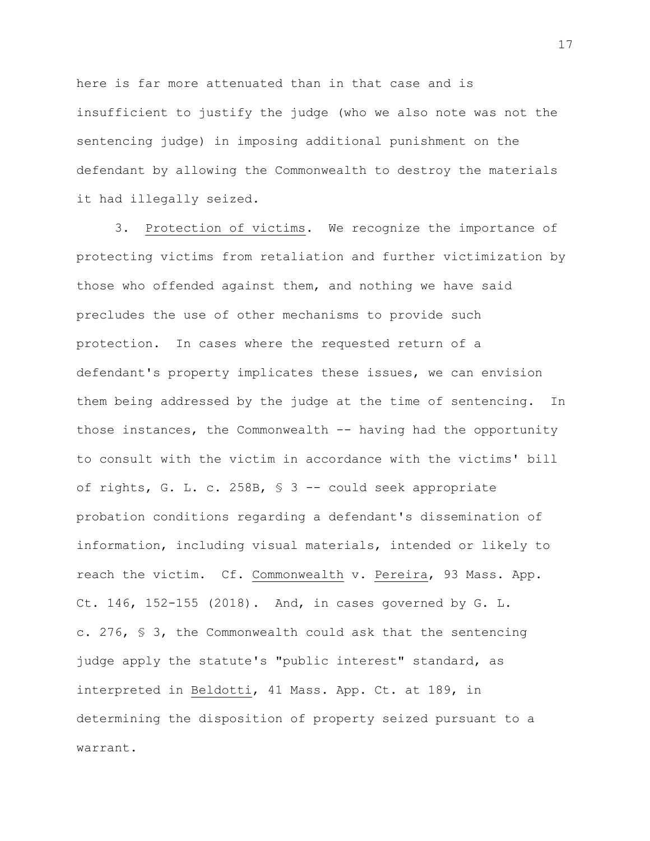here is far more attenuated than in that case and is insufficient to justify the judge (who we also note was not the sentencing judge) in imposing additional punishment on the defendant by allowing the Commonwealth to destroy the materials it had illegally seized.

3. Protection of victims. We recognize the importance of protecting victims from retaliation and further victimization by those who offended against them, and nothing we have said precludes the use of other mechanisms to provide such protection. In cases where the requested return of a defendant's property implicates these issues, we can envision them being addressed by the judge at the time of sentencing. In those instances, the Commonwealth  $-$  having had the opportunity to consult with the victim in accordance with the victims' bill of rights, G. L. c. 258B, § 3 -- could seek appropriate probation conditions regarding a defendant's dissemination of information, including visual materials, intended or likely to reach the victim. Cf. Commonwealth v. Pereira, 93 Mass. App. Ct. 146, 152-155 (2018). And, in cases governed by  $G. L.$ c. 276, § 3, the Commonwealth could ask that the sentencing judge apply the statute's "public interest" standard, as interpreted in Beldotti, 41 Mass. App. Ct. at 189, in determining the disposition of property seized pursuant to a warrant.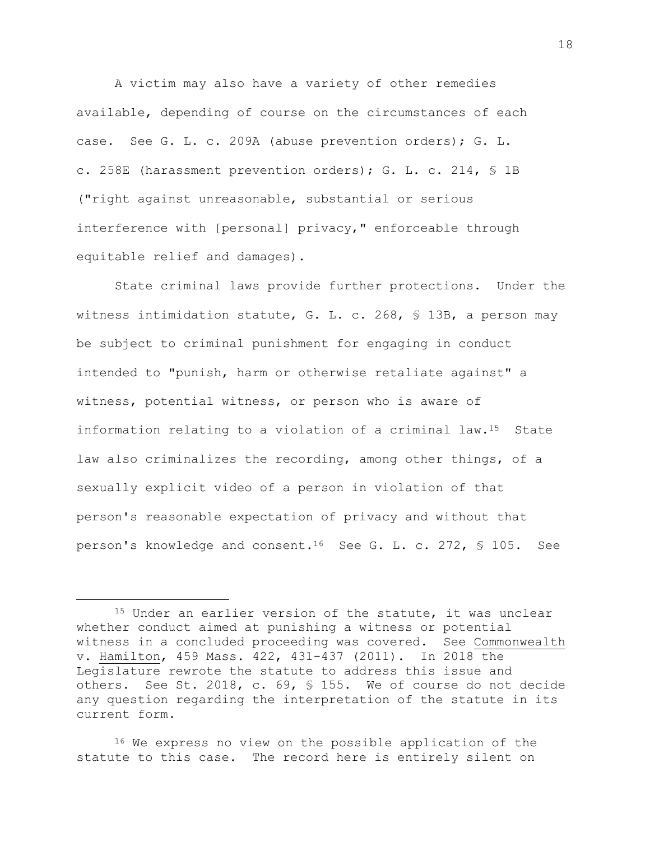A victim may also have a variety of other remedies available, depending of course on the circumstances of each case. See G. L. c. 209A (abuse prevention orders); G. L. c. 258E (harassment prevention orders); G. L. c. 214, § 1B ("right against unreasonable, substantial or serious interference with [personal] privacy," enforceable through equitable relief and damages).

State criminal laws provide further protections. Under the witness intimidation statute, G. L. c. 268, § 13B, a person may be subject to criminal punishment for engaging in conduct intended to "punish, harm or otherwise retaliate against" a witness, potential witness, or person who is aware of information relating to a violation of a criminal law.<sup>15</sup> State law also criminalizes the recording, among other things, of a sexually explicit video of a person in violation of that person's reasonable expectation of privacy and without that person's knowledge and consent.16 See G. L. c. 272, § 105. See

a<br>B

<sup>16</sup> We express no view on the possible application of the statute to this case. The record here is entirely silent on

<sup>&</sup>lt;sup>15</sup> Under an earlier version of the statute, it was unclear whether conduct aimed at punishing a witness or potential witness in a concluded proceeding was covered. See Commonwealth v. Hamilton, 459 Mass. 422, 431-437 (2011). In 2018 the Legislature rewrote the statute to address this issue and others. See St. 2018, c. 69, § 155. We of course do not decide any question regarding the interpretation of the statute in its current form.